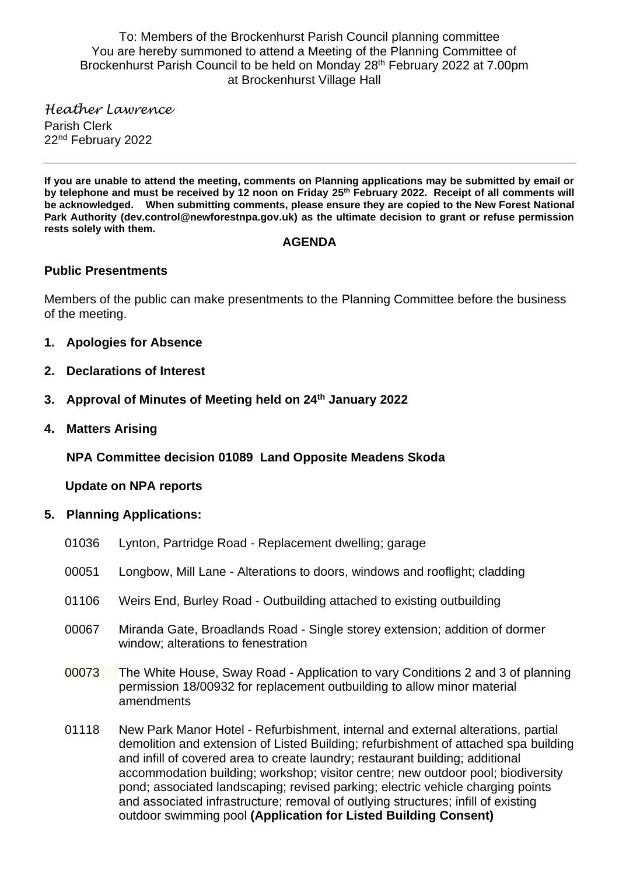To: Members of the Brockenhurst Parish Council planning committee You are hereby summoned to attend a Meeting of the Planning Committee of Brockenhurst Parish Council to be held on Monday 28<sup>th</sup> February 2022 at 7.00pm at Brockenhurst Village Hall

*Heather Lawrence* Parish Clerk 22<sup>nd</sup> February 2022

**If you are unable to attend the meeting, comments on Planning applications may be submitted by email or by telephone and must be received by 12 noon on Friday 25 th February 2022. Receipt of all comments will be acknowledged. When submitting comments, please ensure they are copied to the New Forest National Park Authority (dev.control@newforestnpa.gov.uk) as the ultimate decision to grant or refuse permission rests solely with them.**

### **AGENDA**

# **Public Presentments**

Members of the public can make presentments to the Planning Committee before the business of the meeting.

- **1. Apologies for Absence**
- **2. Declarations of Interest**
- **3. Approval of Minutes of Meeting held on 24th January 2022**
- **4. Matters Arising**

**NPA Committee decision 01089 Land Opposite Meadens Skoda**

 **Update on NPA reports**

- **5. Planning Applications:**
	- 01036 Lynton, Partridge Road Replacement dwelling; garage
	- 00051 Longbow, Mill Lane Alterations to doors, windows and rooflight; cladding
	- 01106 Weirs End, Burley Road Outbuilding attached to existing outbuilding
	- 00067 Miranda Gate, Broadlands Road Single storey extension; addition of dormer window; alterations to fenestration
	- 00073 The White House, Sway Road Application to vary Conditions 2 and 3 of planning permission 18/00932 for replacement outbuilding to allow minor material amendments
	- 01118 New Park Manor Hotel Refurbishment, internal and external alterations, partial demolition and extension of Listed Building; refurbishment of attached spa building and infill of covered area to create laundry; restaurant building; additional accommodation building; workshop; visitor centre; new outdoor pool; biodiversity pond; associated landscaping; revised parking; electric vehicle charging points and associated infrastructure; removal of outlying structures; infill of existing outdoor swimming pool **(Application for Listed Building Consent)**